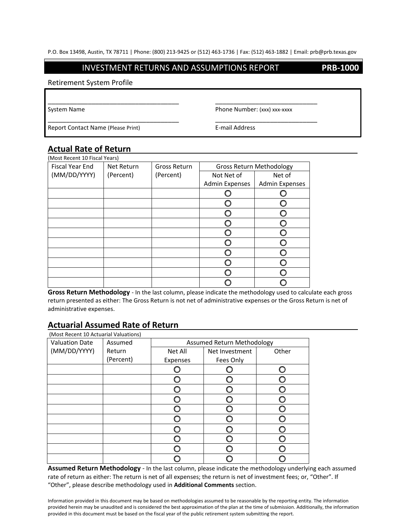#### INVESTMENT RETURNS AND ASSUMPTIONS REPORT **PRB-1000**

\_\_\_\_\_\_\_\_\_\_\_\_\_\_\_\_\_\_\_\_\_\_\_\_\_\_\_\_\_\_\_\_\_\_\_\_ \_\_\_\_\_\_\_\_\_\_\_\_\_\_\_\_\_\_\_\_\_\_\_\_\_\_\_\_

\_\_\_\_\_\_\_\_\_\_\_\_\_\_\_\_\_\_\_\_\_\_\_\_\_\_\_\_\_\_\_\_\_\_\_\_ \_\_\_\_\_\_\_\_\_\_\_\_\_\_\_\_\_\_\_\_\_\_\_\_\_\_\_\_

#### Retirement System Profile

System Name **Phone Number:** (xxx) xxx-xxxx

Report Contact Name (Please Print) E-mail Address

### **Actual Rate of Return** \_

| (Most Recent 10 Fiscal Years) |            |              |                                 |                       |
|-------------------------------|------------|--------------|---------------------------------|-----------------------|
| Fiscal Year End               | Net Return | Gross Return | <b>Gross Return Methodology</b> |                       |
| (MM/DD/YYYY)                  | (Percent)  | (Percent)    | Not Net of                      | Net of                |
|                               |            |              | <b>Admin Expenses</b>           | <b>Admin Expenses</b> |
|                               |            |              |                                 |                       |
|                               |            |              |                                 |                       |
|                               |            |              |                                 |                       |
|                               |            |              |                                 |                       |
|                               |            |              |                                 |                       |
|                               |            |              |                                 |                       |
|                               |            |              |                                 |                       |
|                               |            |              |                                 |                       |
|                               |            |              |                                 |                       |
|                               |            |              |                                 |                       |

**Gross Return Methodology** - In the last column, please indicate the methodology used to calculate each gross return presented as either: The Gross Return is not net of administrative expenses or the Gross Return is net of administrative expenses.

### **Actuarial Assumed Rate of Return**\_ \_\_

| (Most Recent 10 Actuarial Valuations) |           |                            |                |       |  |
|---------------------------------------|-----------|----------------------------|----------------|-------|--|
| <b>Valuation Date</b>                 | Assumed   | Assumed Return Methodology |                |       |  |
| (MM/DD/YYYY)                          | Return    | Net All                    | Net Investment | Other |  |
|                                       | (Percent) | Expenses                   | Fees Only      |       |  |
|                                       |           |                            |                |       |  |
|                                       |           |                            |                |       |  |
|                                       |           |                            |                |       |  |
|                                       |           |                            |                |       |  |
|                                       |           |                            |                |       |  |
|                                       |           |                            |                |       |  |
|                                       |           |                            |                |       |  |
|                                       |           |                            |                |       |  |
|                                       |           |                            |                |       |  |
|                                       |           |                            |                |       |  |

**Assumed Return Methodology** - In the last column, please indicate the methodology underlying each assumed rate of return as either: The return is net of all expenses; the return is net of investment fees; or, "Other". If "Other", please describe methodology used in **Additional Comments** section.

Information provided in this document may be based on methodologies assumed to be reasonable by the reporting entity. The information provided herein may be unaudited and is considered the best approximation of the plan at the time of submission. Additionally, the information provided in this document must be based on the fiscal year of the public retirement system submitting the report.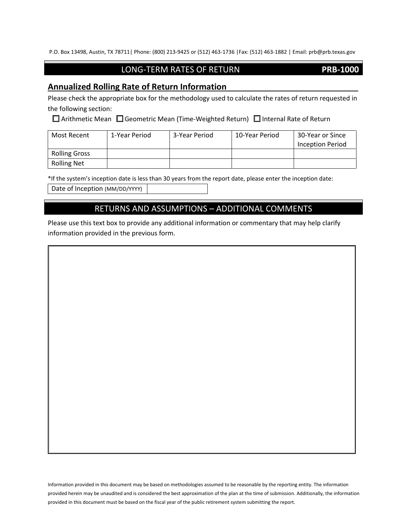P.O. Box 13498, Austin, TX 78711| Phone: (800) 213-9425 or (512) 463-1736 |Fax: (512) 463-1882 | Email: prb@prb.texas.gov

## LONG-TERM RATES OF RETURN **PRB-1000**

### **Annualized Rolling Rate of Return Information**\_ \_

Please check the appropriate box for the methodology used to calculate the rates of return requested in the following section:

 $\Box$  Arithmetic Mean  $\Box$  Geometric Mean (Time-Weighted Return)  $\Box$  Internal Rate of Return

| Most Recent          | 1-Year Period | 3-Year Period | 10-Year Period | 30-Year or Since |
|----------------------|---------------|---------------|----------------|------------------|
|                      |               |               |                | Inception Period |
| <b>Rolling Gross</b> |               |               |                |                  |
| <b>Rolling Net</b>   |               |               |                |                  |

\*If the system's inception date is less than 30 years from the report date, please enter the inception date:

Date of Inception (MM/DD/YYYY)

# RETURNS AND ASSUMPTIONS – ADDITIONAL COMMENTS

Please use this text box to provide any additional information or commentary that may help clarify information provided in the previous form.

Information provided in this document may be based on methodologies assumed to be reasonable by the reporting entity. The information provided herein may be unaudited and is considered the best approximation of the plan at the time of submission. Additionally, the information provided in this document must be based on the fiscal year of the public retirement system submitting the report.